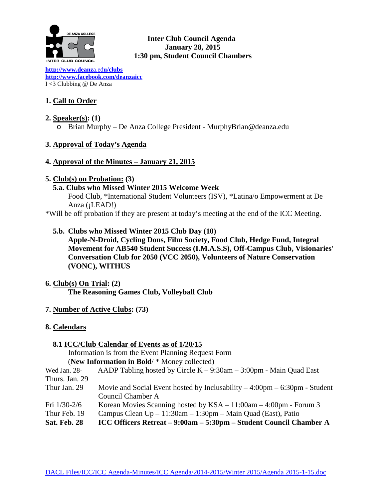

# **Inter Club Council Agenda January 28, 2015 1:30 pm, Student Council Chambers**

**[http://www.deanz](http://www.deanza.edu/clubs)**a.ed**u/clubs [http://www.facebook.com/deanzaicc](http://www.facebook.com/home.php%23!/group.php?gid=59034552686)** I <3 Clubbing @ De Anza

# **1. Call to Order**

**2. Speaker(s): (1)** o Brian Murphy – De Anza College President - MurphyBrian@deanza.edu

# **3. Approval of Today's Agenda**

# **4. Approval of the Minutes – January 21, 2015**

# **5. Club(s) on Probation: (3)**

 **5.a. Clubs who Missed Winter 2015 Welcome Week**

Food Club, \*International Student Volunteers (ISV), \*Latina/o Empowerment at De Anza (¡LEAD!)

\*Will be off probation if they are present at today's meeting at the end of the ICC Meeting.

 **5.b. Clubs who Missed Winter 2015 Club Day (10)**

**Apple-N-Droid, Cycling Dons, Film Society, Food Club, Hedge Fund, Integral Movement for AB540 Student Success (I.M.A.S.S), Off-Campus Club, Visionaries' Conversation Club for 2050 (VCC 2050), Volunteers of Nature Conservation (VONC), WITHUS**

- **6. Club(s) On Trial: (2) The Reasoning Games Club, Volleyball Club**
- **7. Number of Active Clubs: (73)**
- **8. Calendars**

# **8.1 ICC/Club Calendar of Events as of 1/20/15** Information is from the Event Planning Request Form (**New Information in Bold**/ \* Money collected) Wed Jan. 28- AADP Tabling hosted by Circle K – 9:30am – 3:00pm - Main Quad East Thurs. Jan. 29 Thur Jan. 29 Movie and Social Event hosted by Inclusability  $-4:00 \text{pm} - 6:30 \text{pm}$  - Student Council Chamber A

- Fri 1/30-2/6 Korean Movies Scanning hosted by KSA 11:00am 4:00pm Forum 3
- Thur Feb. 19 Campus Clean  $Up 11:30$ am 1:30pm Main Quad (East), Patio
- **Sat. Feb. 28 ICC Officers Retreat – 9:00am – 5:30pm – Student Council Chamber A**